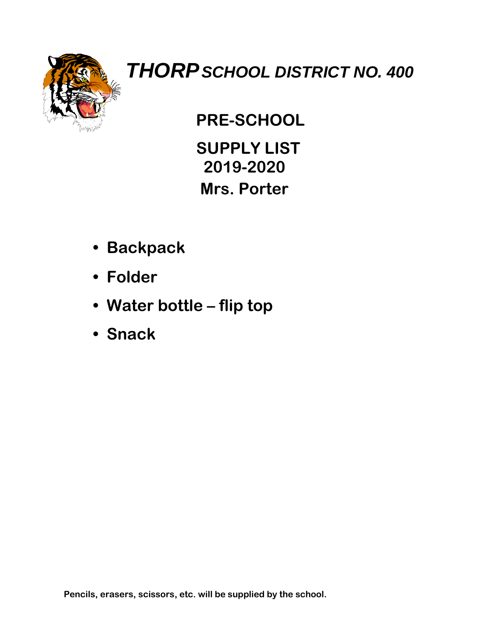

### **PRE-SCHOOL**

 **SUPPLY LIST 2019-2020 Mrs. Porter**

- **Backpack**
- **Folder**
- **Water bottle – flip top**
- **Snack**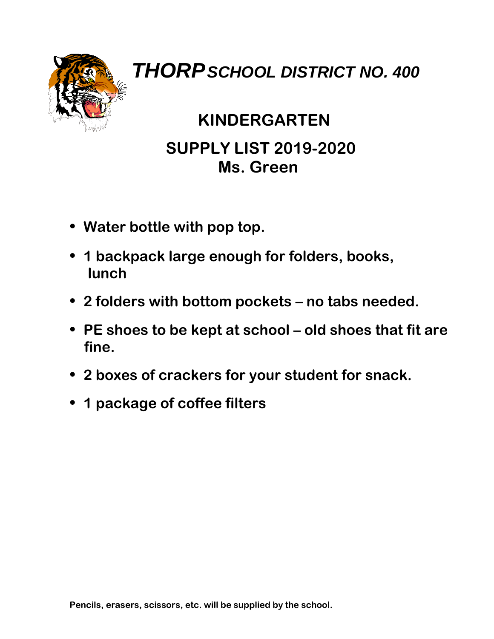

## **KINDERGARTEN SUPPLY LIST 2019-2020 Ms. Green**

- **Water bottle with pop top.**
- **1 backpack large enough for folders, books, lunch**
- **2 folders with bottom pockets – no tabs needed.**
- **PE shoes to be kept at school – old shoes that fit are fine.**
- **2 boxes of crackers for your student for snack.**
- **1 package of coffee filters**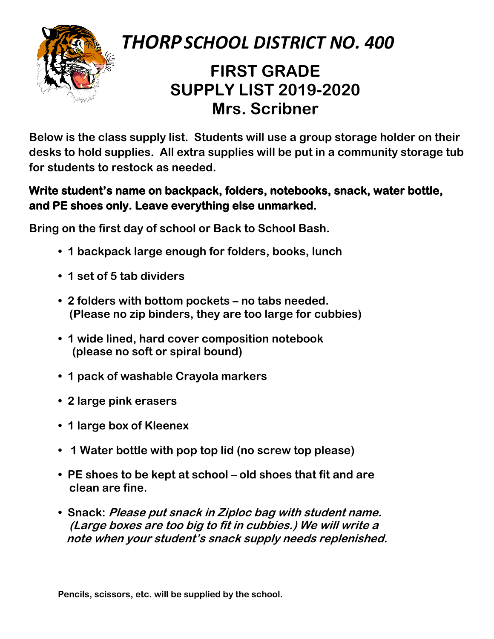

### **FIRST GRADE SUPPLY LIST 2019-2020 Mrs. Scribner**

**Below is the class supply list. Students will use a group storage holder on their desks to hold supplies. All extra supplies will be put in a community storage tub for students to restock as needed.**

#### **Write student's name on backpack, folders, notebooks, snack, water bottle, and PE shoes only. Leave everything else unmarked.**

**Bring on the first day of school or Back to School Bash.**

- **1 backpack large enough for folders, books, lunch**
- **1 set of 5 tab dividers**
- **2 folders with bottom pockets – no tabs needed. (Please no zip binders, they are too large for cubbies)**
- **1 wide lined, hard cover composition notebook (please no soft or spiral bound)**
- **1 pack of washable Crayola markers**
- **2 large pink erasers**
- **1 large box of Kleenex**
- **1 Water bottle with pop top lid (no screw top please)**
- **PE shoes to be kept at school – old shoes that fit and are clean are fine.**
- **Snack: Please put snack in Ziploc bag with student name. (Large boxes are too big to fit in cubbies.) We will write a note when your student's snack supply needs replenished.**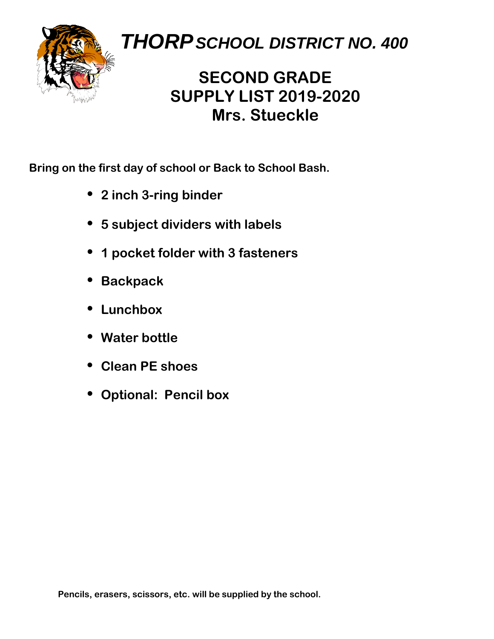

### **SECOND GRADE SUPPLY LIST 2019-2020 Mrs. Stueckle**

**Bring on the first day of school or Back to School Bash.**

- **2 inch 3-ring binder**
- **5 subject dividers with labels**
- **1 pocket folder with 3 fasteners**
- **Backpack**
- **Lunchbox**
- **Water bottle**
- **Clean PE shoes**
- **Optional: Pencil box**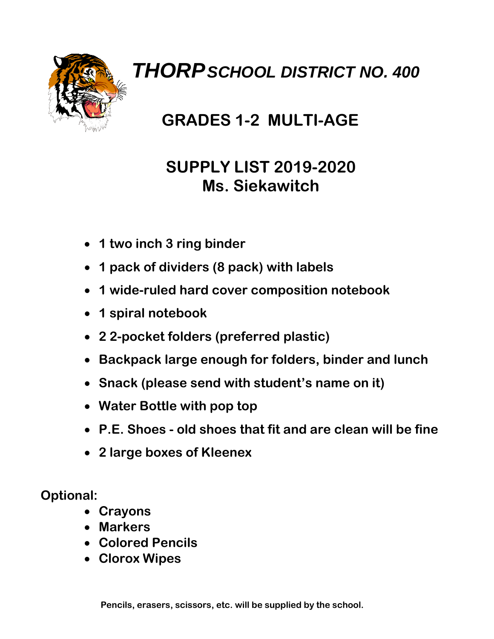

### **GRADES 1-2 MULTI-AGE**

#### **SUPPLY LIST 2019-2020 Ms. Siekawitch**

- **1 two inch 3 ring binder**
- **1 pack of dividers (8 pack) with labels**
- **1 wide-ruled hard cover composition notebook**
- **1 spiral notebook**
- **2 2-pocket folders (preferred plastic)**
- **Backpack large enough for folders, binder and lunch**
- **Snack (please send with student's name on it)**
- **Water Bottle with pop top**
- **P.E. Shoes - old shoes that fit and are clean will be fine**
- **2 large boxes of Kleenex**

**Optional:**

- **Crayons**
- **Markers**
- **Colored Pencils**
- **Clorox Wipes**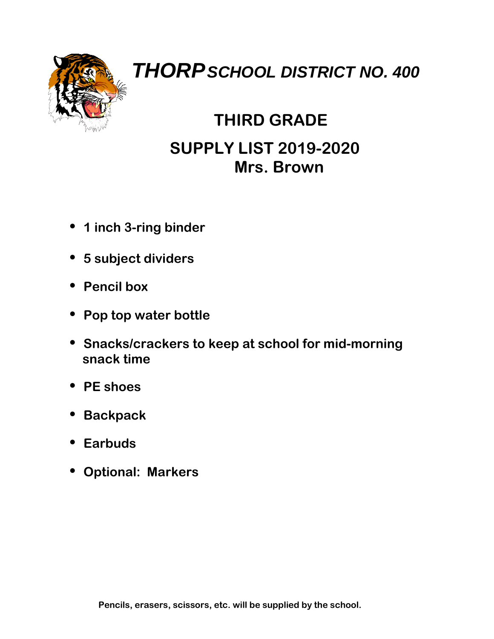

### **THIRD GRADE SUPPLY LIST 2019-2020 Mrs. Brown**

- **1 inch 3-ring binder**
- **5 subject dividers**
- **Pencil box**
- **Pop top water bottle**
- **Snacks/crackers to keep at school for mid-morning snack time**
- **PE shoes**
- **Backpack**
- **Earbuds**
- **Optional: Markers**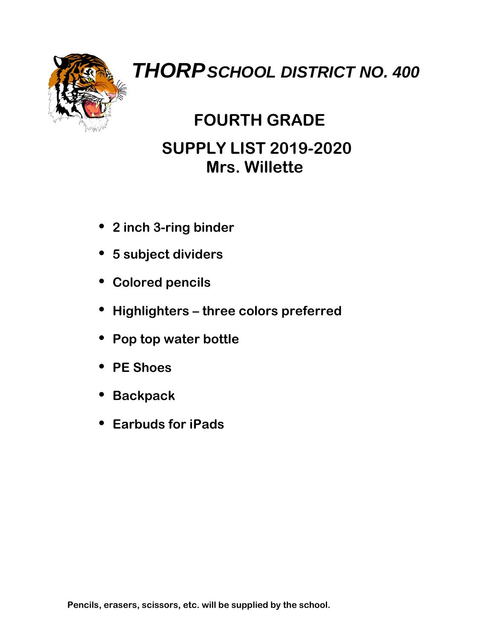

### **FOURTH GRADE SUPPLY LIST 2019-2020 Mrs. Willette**

- **2 inch 3-ring binder**
- **5 subject dividers**
- **Colored pencils**
- **Highlighters – three colors preferred**
- **Pop top water bottle**
- **PE Shoes**
- **Backpack**
- **Earbuds for iPads**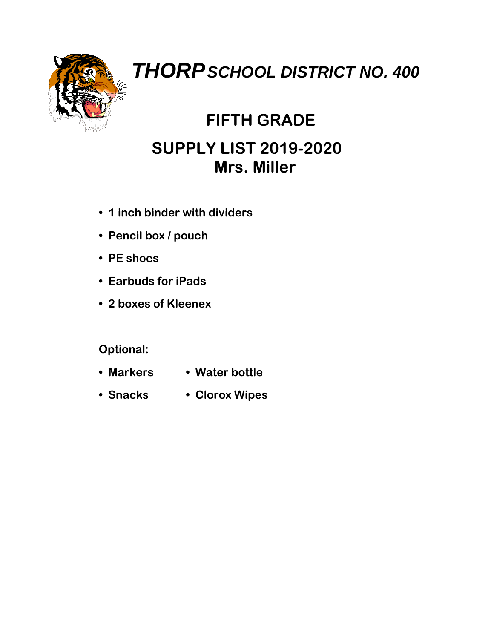

## **FIFTH GRADE SUPPLY LIST 2019-2020 Mrs. Miller**

- **1 inch binder with dividers**
- **Pencil box / pouch**
- **PE shoes**
- **Earbuds for iPads**
- **2 boxes of Kleenex**

#### **Optional:**

- **Markers Water bottle**
- **Snacks Clorox Wipes**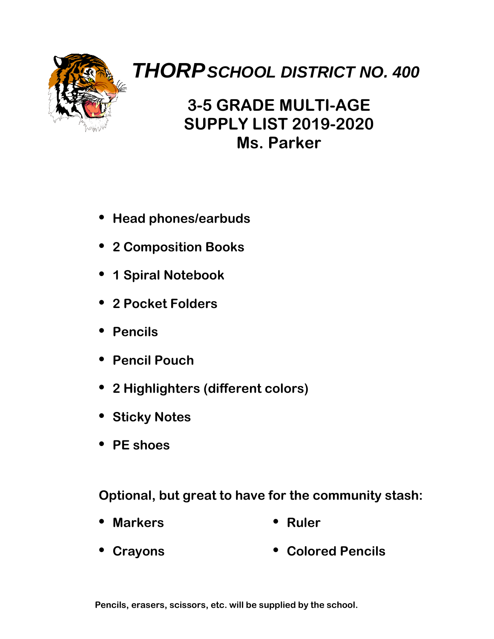

#### **3-5 GRADE MULTI-AGE SUPPLY LIST 2019-2020 Ms. Parker**

- **Head phones/earbuds**
- **2 Composition Books**
- **1 Spiral Notebook**
- **2 Pocket Folders**
- **Pencils**
- **Pencil Pouch**
- **2 Highlighters (different colors)**
- **Sticky Notes**
- **PE shoes**

**Optional, but great to have for the community stash:**

- **Markers Ruler**
- **Crayons Colored Pencils**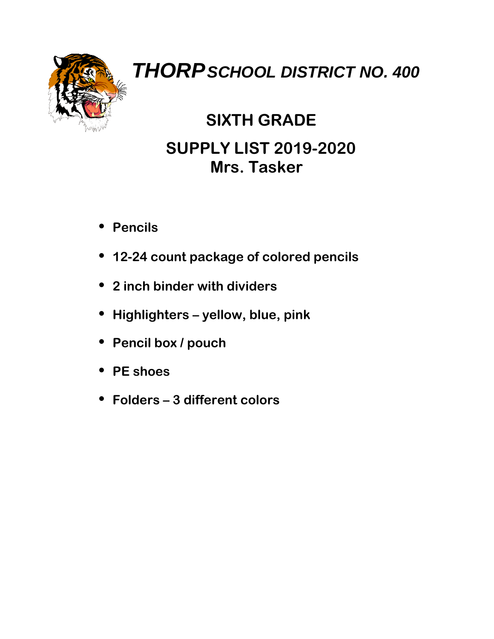

### **SIXTH GRADE SUPPLY LIST 2019-2020 Mrs. Tasker**

- **Pencils**
- **12-24 count package of colored pencils**
- **2 inch binder with dividers**
- **Highlighters – yellow, blue, pink**
- **Pencil box / pouch**
- **PE shoes**
- **Folders – 3 different colors**